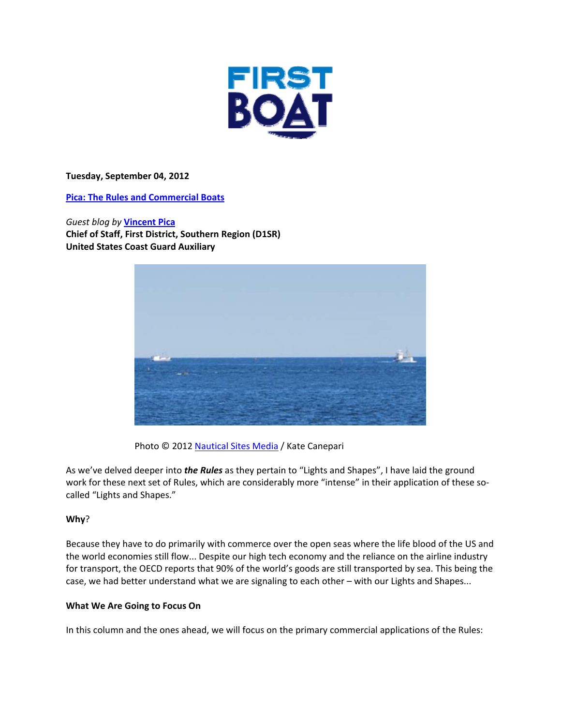

**Tuesday, September 04, 2012**

**Pica: The Rules and Commercial Boats**

*Guest blog by* **Vincent Pica Chief of Staff, First District, Southern Region (D1SR) United States Coast Guard Auxiliary**



Photo © 2012 Nautical Sites Media / Kate Canepari

As we've delved deeper into *the Rules* as they pertain to "Lights and Shapes", I have laid the ground work for these next set of Rules, which are considerably more "intense" in their application of these socalled "Lights and Shapes."

# **Why**?

Because they have to do primarily with commerce over the open seas where the life blood of the US and the world economies still flow... Despite our high tech economy and the reliance on the airline industry for transport, the OECD reports that 90% of the world's goods are still transported by sea. This being the case, we had better understand what we are signaling to each other – with our Lights and Shapes...

# **What We Are Going to Focus On**

In this column and the ones ahead, we will focus on the primary commercial applications of the Rules: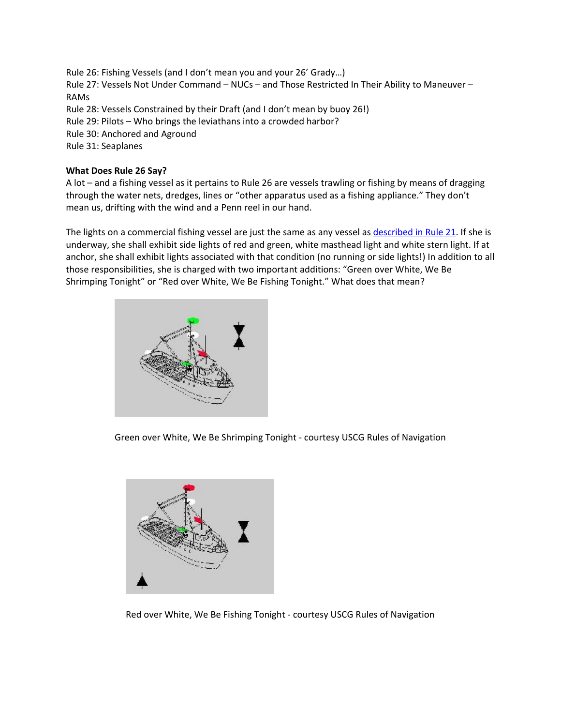Rule 26: Fishing Vessels (and I don't mean you and your 26' Grady…) Rule 27: Vessels Not Under Command – NUCs – and Those Restricted In Their Ability to Maneuver – RAMs Rule 28: Vessels Constrained by their Draft (and I don't mean by buoy 26!) Rule 29: Pilots – Who brings the leviathans into a crowded harbor? Rule 30: Anchored and Aground Rule 31: Seaplanes

# **What Does Rule 26 Say?**

A lot – and a fishing vessel as it pertains to Rule 26 are vessels trawling or fishing by means of dragging through the water nets, dredges, lines or "other apparatus used as a fishing appliance." They don't mean us, drifting with the wind and a Penn reel in our hand.

The lights on a commercial fishing vessel are just the same as any vessel as described in Rule 21. If she is underway, she shall exhibit side lights of red and green, white masthead light and white stern light. If at anchor, she shall exhibit lights associated with that condition (no running or side lights!) In addition to all those responsibilities, she is charged with two important additions: "Green over White, We Be Shrimping Tonight" or "Red over White, We Be Fishing Tonight." What does that mean?



Green over White, We Be Shrimping Tonight ‐ courtesy USCG Rules of Navigation



Red over White, We Be Fishing Tonight ‐ courtesy USCG Rules of Navigation